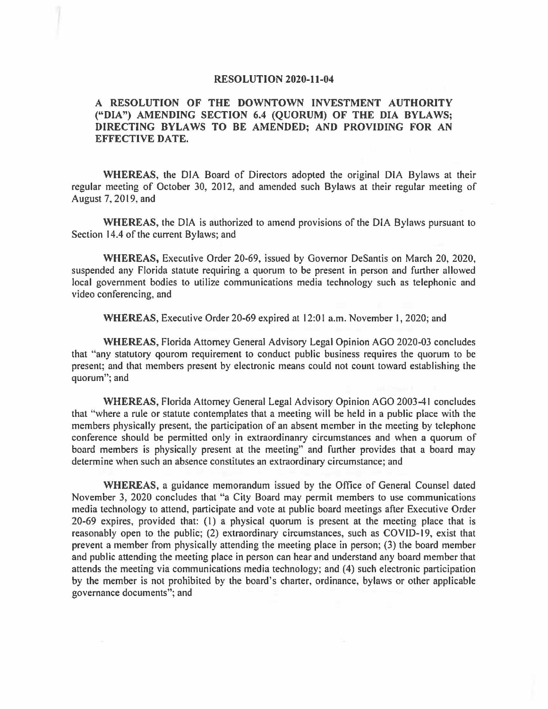## **RESOLUTION 2020-11-04**

## **A RESOLUTION OF THE DOWNTOWN INVESTMENT AUTHORITY ("DIA") AMENDING SECTION 6.4 (QUORUM) OF THE DIA BYLAWS; DIRECTING BYLAWS TO BE AMENDED; AND PROVIDING FOR AN EFFECTIVE DATE.**

**WHEREAS,** the DIA Board of Directors adopted the original DIA Bylaws at their regular meeting of October 30, 2012, and amended such Bylaws at their regular meeting of August 7, 2019, and

**WHEREAS,** the DIA is authorized to amend provisions of the DIA Bylaws pursuant to Section 14.4 of the current Bylaws; and

**WHEREAS,** Executive Order 20-69, issued by Governor DeSantis on March 20, 2020, suspended any Florida statute requiring a quorum to be present in person and further allowed local government bodies to utilize communications media technology such as telephonic and video conferencing, and

**WHEREAS,** Executive Order 20-69 expired at 12:0 l a.m. November l, 2020; and

**WHEREAS,** Florida Attorney General Advisory Legal Opinion AGO 2020-03 concludes that "any statutory qourom requirement to conduct public business requires the quorum to be present; and that members present by electronic means could not count toward establishing the quorum"; and

**WHEREAS,** Florida Attorney General Legal Advisory Opinion AGO 2003-41 concludes that "where a rule or statute contemplates that a meeting will be held in a public place with the members physically present, the participation of an absent member in the meeting by telephone conference should be permitted only in extraordinanry circumstances and when a quorum of board members is physically present at the meeting" and further provides that a board may determine when such an absence constitutes an extraordinary circumstance; and

**WHEREAS,** a guidance memorandum issued by the Office of General Counsel dated November 3, 2020 concludes that "a City Board may permit members to use communications media technology to attend, participate and vote at public board meetings after Executive Order 20-69 expires, provided that: (l) a physical quorum is present at the meeting place that is reasonably open to the public; (2) extraordinary circumstances, such as COVID-19, exist that prevent a member from physically attending the meeting place in person; (3) the board member and public attending the meeting place in person can hear and understand any board member that attends the meeting via communications media technology; and (4) such electronic participation by the member is not prohibited by the board's charter, ordinance, bylaws or other applicable governance documents"; and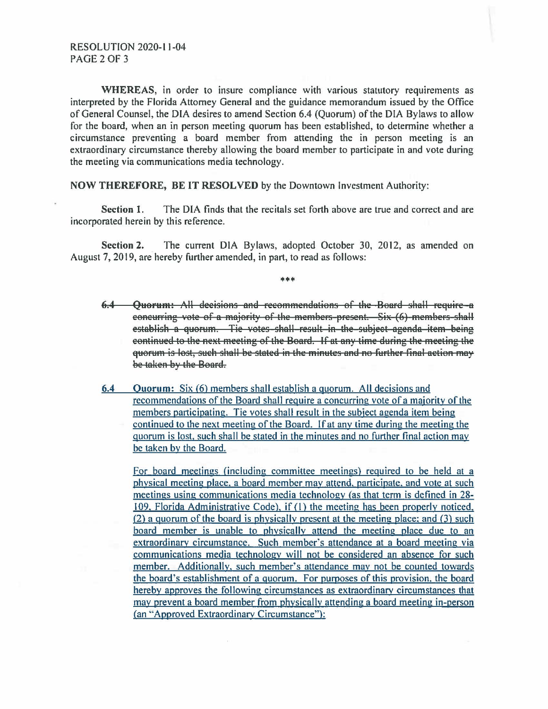WHEREAS, in order to insure compliance with various statutory requirements as interpreted by the Florida Attorney General and the guidance memorandum issued by the Office of General Counsel, the DIA desires to amend Section 6.4 (Quorum) of the DIA Bylaws to allow for the board, when an in person meeting quorum has been established, to determine whether a circumstance preventing a board member from attending the in person meeting is an extraordinary circumstance thereby allowing the board member to participate in and vote during the meeting via communications media technology.

**NOW THEREFORE, BE IT RESOLVED by the Downtown Investment Authority:** 

The DIA finds that the recitals set forth above are true and correct and are Section 1. incorporated herein by this reference.

Section 2. The current DIA Bylaws, adopted October 30, 2012, as amended on August 7, 2019, are hereby further amended, in part, to read as follows:

\*\*\*

- 6.4 Ouorum: All decisions and recommendations of the Board shall require a eoneurring vote of a majority of the members-present. Six (6) members-shall establish a quorum. Tie votes-shall-result in the subject agenda item being eontinued to the next meeting of the Board. If at any time during the meeting the quorum is lost, such shall be stated in the minutes and no further final action may be taken by the Board.
- Quorum: Six (6) members shall establish a quorum. All decisions and  $6.4$ recommendations of the Board shall require a concurring vote of a majority of the members participating. Tie votes shall result in the subject agenda item being continued to the next meeting of the Board. If at any time during the meeting the quorum is lost, such shall be stated in the minutes and no further final action may be taken by the Board.

For board meetings (including committee meetings) required to be held at a physical meeting place, a board member may attend, participate, and vote at such meetings using communications media technology (as that term is defined in 28-109. Florida Administrative Code), if (1) the meeting has been properly noticed, (2) a quorum of the board is physically present at the meeting place; and (3) such board member is unable to physically attend the meeting place due to an extraordinary circumstance. Such member's attendance at a board meeting via communications media technology will not be considered an absence for such member. Additionally, such member's attendance may not be counted towards the board's establishment of a guorum. For purposes of this provision, the board hereby approves the following circumstances as extraordinary circumstances that may prevent a board member from physically attending a board meeting in-person (an "Approved Extraordinary Circumstance"):